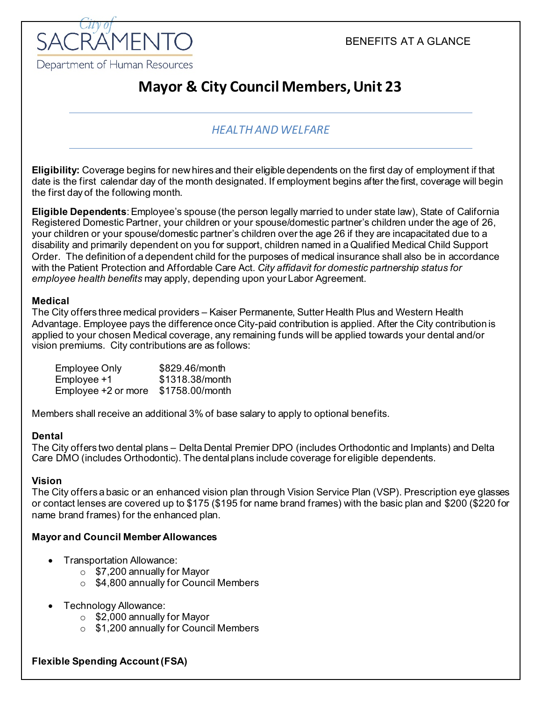

# **Mayor & City Council Members, Unit 23**

## *HEALTH AND WELFARE*

**Eligibility:** Coverage begins for newhires and their eligible dependents on the first day of employment if that date is the first calendar day of the month designated. If employment begins after the first, coverage will begin the first day of the following month.

**Eligible Dependents**:Employee's spouse (the person legally married to under state law), State of California Registered Domestic Partner, your children or your spouse/domestic partner's children under the age of 26, your children or your spouse/domestic partner's children over the age 26 if they are incapacitated due to a disability and primarily dependent on you for support, children named in a Qualified Medical Child Support Order. The definition of a dependent child for the purposes of medical insurance shall also be in accordance with the Patient Protection and Affordable Care Act. *City affidavit for domestic partnership status for employee health benefits* may apply, depending upon your Labor Agreement.

#### **Medical**

The City offers three medical providers – Kaiser Permanente, Sutter Health Plus and Western Health Advantage. Employee pays the difference once City-paid contribution is applied. After the City contribution is applied to your chosen Medical coverage, any remaining funds will be applied towards your dental and/or vision premiums. City contributions are as follows:

Employee Only \$829.46/month  $Emplovee +1$   $$1318.38/month$ Employee +2 or more \$1758.00/month

Members shall receive an additional 3% of base salary to apply to optional benefits.

#### **Dental**

The City offers two dental plans – Delta Dental Premier DPO (includes Orthodontic and Implants) and Delta Care DMO (includes Orthodontic). The dentalplans include coverage for eligible dependents.

#### **Vision**

The City offers a basic or an enhanced vision plan through Vision Service Plan (VSP). Prescription eye glasses or contact lenses are covered up to \$175 (\$195 for name brand frames) with the basic plan and \$200 (\$220 for name brand frames) for the enhanced plan.

#### **Mayor and Council Member Allowances**

- Transportation Allowance:
	- o \$7,200 annually for Mayor
	- o \$4,800 annually for Council Members
- Technology Allowance:
	- o \$2,000 annually for Mayor
	- o \$1,200 annually for Council Members

#### **Flexible Spending Account (FSA)**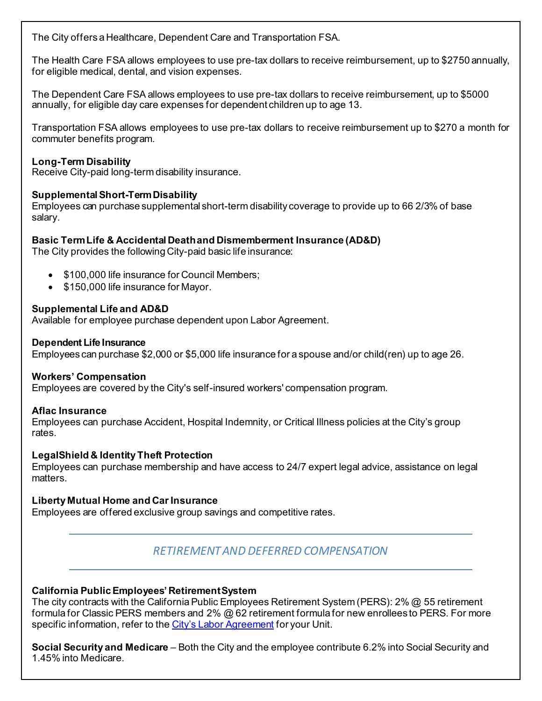The City offers a Healthcare, Dependent Care and Transportation FSA.

The Health Care FSA allows employees to use pre-tax dollars to receive reimbursement, up to \$2750 annually, for eligible medical, dental, and vision expenses.

The Dependent Care FSA allows employees to use pre-tax dollars to receive reimbursement, up to \$5000 annually, for eligible day care expenses for dependent children up to age 13.

Transportation FSA allows employees to use pre-tax dollars to receive reimbursement up to \$270 a month for commuter benefits program.

#### **Long-Term Disability**

Receive City-paid long-term disability insurance.

#### **SupplementalShort-TermDisability**

Employees can purchase supplemental short-term disability coverage to provide up to 66 2/3% of base salary.

#### **Basic TermLife & Accidental Deathand Dismemberment Insurance (AD&D)**

The City provides the following City-paid basic life insurance:

- \$100,000 life insurance for Council Members;
- \$150,000 life insurance for Mayor.

#### **Supplemental Life and AD&D**

Available for employee purchase dependent upon Labor Agreement.

#### **Dependent Life Insurance**

Employees can purchase \$2,000 or \$5,000 life insurance for a spouse and/or child(ren) up to age 26.

#### **Workers' Compensation**

Employees are covered by the City's self-insured workers' compensation program.

#### **Aflac Insurance**

Employees can purchase Accident, Hospital Indemnity, or Critical Illness policies at the City's group rates.

#### **LegalShield & Identity Theft Protection**

Employees can purchase membership and have access to 24/7 expert legal advice, assistance on legal matters.

#### **Liberty Mutual Home and Car Insurance**

Employees are offered exclusive group savings and competitive rates.

### *RETIREMENT AND DEFERRED COMPENSATION*

#### **California PublicEmployees' RetirementSystem**

The city contracts with the California Public Employees Retirement System (PERS): 2% @ 55 retirement formula for Classic PERS members and 2% @ 62 retirement formula for new enrollees to PERS. For more specific information, refer to th[e City's Labor Agreement](http://www.cityofsacramento.org/HR/Divisions/Labor-Relations/Labor-Agreements) for your Unit.

**Social Security and Medicare** – Both the City and the employee contribute 6.2% into Social Security and 1.45% into Medicare.